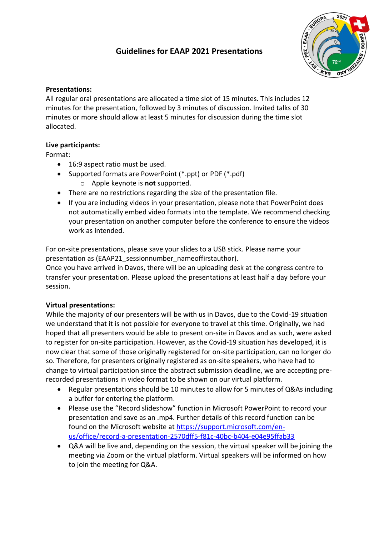# **Guidelines for EAAP 2021 Presentations**



## **Presentations:**

All regular oral presentations are allocated a time slot of 15 minutes. This includes 12 minutes for the presentation, followed by 3 minutes of discussion. Invited talks of 30 minutes or more should allow at least 5 minutes for discussion during the time slot allocated.

### **Live participants:**

Format:

- 16:9 aspect ratio must be used.
- Supported formats are PowerPoint (\*.ppt) or PDF (\*.pdf)
	- o Apple keynote is **not** supported.
- There are no restrictions regarding the size of the presentation file.
- If you are including videos in your presentation, please note that PowerPoint does not automatically embed video formats into the template. We recommend checking your presentation on another computer before the conference to ensure the videos work as intended.

For on-site presentations, please save your slides to a USB stick. Please name your presentation as (EAAP21\_sessionnumber\_nameoffirstauthor).

Once you have arrived in Davos, there will be an uploading desk at the congress centre to transfer your presentation. Please upload the presentations at least half a day before your session.

### **Virtual presentations:**

While the majority of our presenters will be with us in Davos, due to the Covid-19 situation we understand that it is not possible for everyone to travel at this time. Originally, we had hoped that all presenters would be able to present on-site in Davos and as such, were asked to register for on-site participation. However, as the Covid-19 situation has developed, it is now clear that some of those originally registered for on-site participation, can no longer do so. Therefore, for presenters originally registered as on-site speakers, who have had to change to virtual participation since the abstract submission deadline, we are accepting prerecorded presentations in video format to be shown on our virtual platform.

- Regular presentations should be 10 minutes to allow for 5 minutes of Q&As including a buffer for entering the platform.
- Please use the "Record slideshow" function in Microsoft PowerPoint to record your presentation and save as an .mp4. Further details of this record function can be found on the Microsoft website at [https://support.microsoft.com/en](https://support.microsoft.com/en-us/office/record-a-presentation-2570dff5-f81c-40bc-b404-e04e95ffab33)[us/office/record-a-presentation-2570dff5-f81c-40bc-b404-e04e95ffab33](https://support.microsoft.com/en-us/office/record-a-presentation-2570dff5-f81c-40bc-b404-e04e95ffab33)
- Q&A will be live and, depending on the session, the virtual speaker will be joining the meeting via Zoom or the virtual platform. Virtual speakers will be informed on how to join the meeting for Q&A.